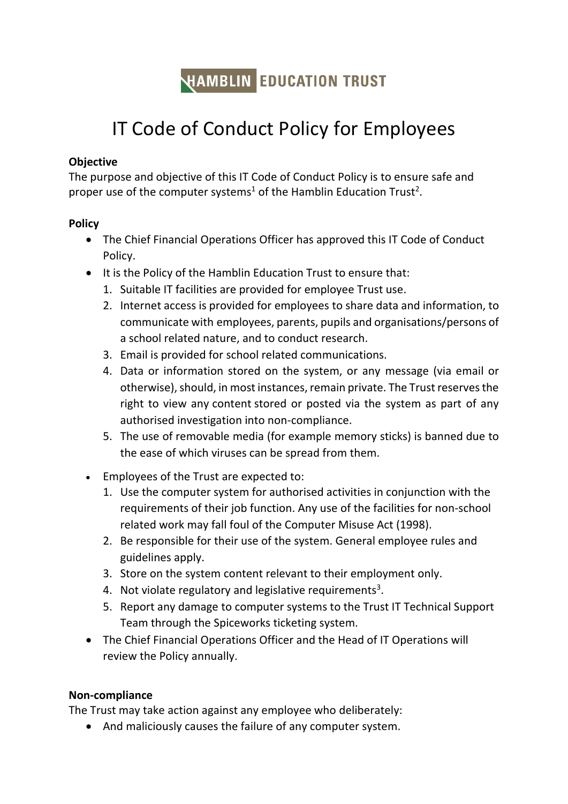

# IT Code of Conduct Policy for Employees

### **Objective**

The purpose and objective of this IT Code of Conduct Policy is to ensure safe and proper use of the computer systems<sup>1</sup> of the Hamblin Education Trust<sup>2</sup>.

#### **Policy**

- The Chief Financial Operations Officer has approved this IT Code of Conduct Policy.
- It is the Policy of the Hamblin Education Trust to ensure that:
	- 1. Suitable IT facilities are provided for employee Trust use.
	- 2. Internet access is provided for employees to share data and information, to communicate with employees, parents, pupils and organisations/persons of a school related nature, and to conduct research.
	- 3. Email is provided for school related communications.
	- 4. Data or information stored on the system, or any message (via email or otherwise), should, in most instances, remain private. The Trust reserves the right to view any content stored or posted via the system as part of any authorised investigation into non-compliance.
	- 5. The use of removable media (for example memory sticks) is banned due to the ease of which viruses can be spread from them.
- Employees of the Trust are expected to:
	- 1. Use the computer system for authorised activities in conjunction with the requirements of their job function. Any use of the facilities for non-school related work may fall foul of the Computer Misuse Act (1998).
	- 2. Be responsible for their use of the system. General employee rules and guidelines apply.
	- 3. Store on the system content relevant to their employment only.
	- 4. Not violate regulatory and legislative requirements<sup>3</sup>.
	- 5. Report any damage to computer systems to the Trust IT Technical Support Team through the Spiceworks ticketing system.
- The Chief Financial Operations Officer and the Head of IT Operations will review the Policy annually.

## **Non-compliance**

The Trust may take action against any employee who deliberately:

And maliciously causes the failure of any computer system.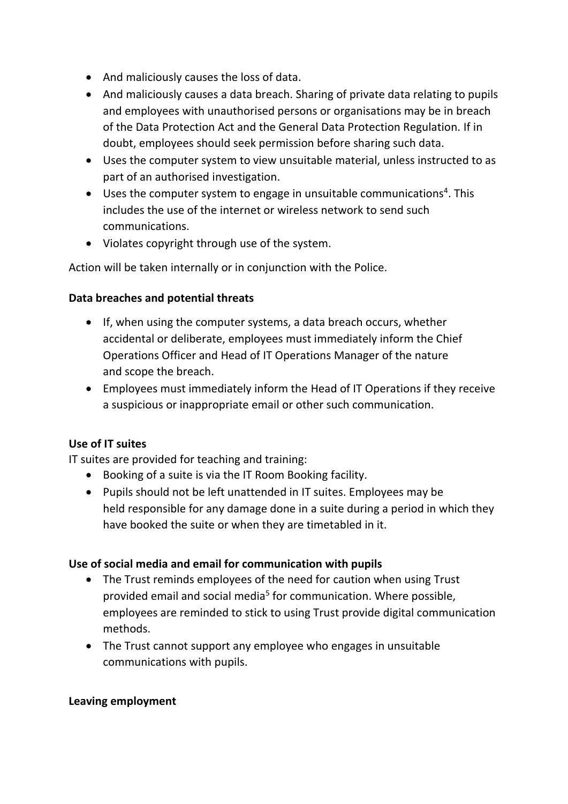- And maliciously causes the loss of data.
- And maliciously causes a data breach. Sharing of private data relating to pupils and employees with unauthorised persons or organisations may be in breach of the Data Protection Act and the General Data Protection Regulation. If in doubt, employees should seek permission before sharing such data.
- Uses the computer system to view unsuitable material, unless instructed to as part of an authorised investigation.
- Uses the computer system to engage in unsuitable communications<sup>4</sup>. This includes the use of the internet or wireless network to send such communications.
- Violates copyright through use of the system.

Action will be taken internally or in conjunction with the Police.

## **Data breaches and potential threats**

- If, when using the computer systems, a data breach occurs, whether accidental or deliberate, employees must immediately inform the Chief Operations Officer and Head of IT Operations Manager of the nature and scope the breach.
- Employees must immediately inform the Head of IT Operations if they receive a suspicious or inappropriate email or other such communication.

# **Use of IT suites**

IT suites are provided for teaching and training:

- Booking of a suite is via the IT Room Booking facility.
- Pupils should not be left unattended in IT suites. Employees may be held responsible for any damage done in a suite during a period in which they have booked the suite or when they are timetabled in it.

## **Use of social media and email for communication with pupils**

- The Trust reminds employees of the need for caution when using Trust provided email and social media<sup>5</sup> for communication. Where possible, employees are reminded to stick to using Trust provide digital communication methods.
- The Trust cannot support any employee who engages in unsuitable communications with pupils.

## **Leaving employment**